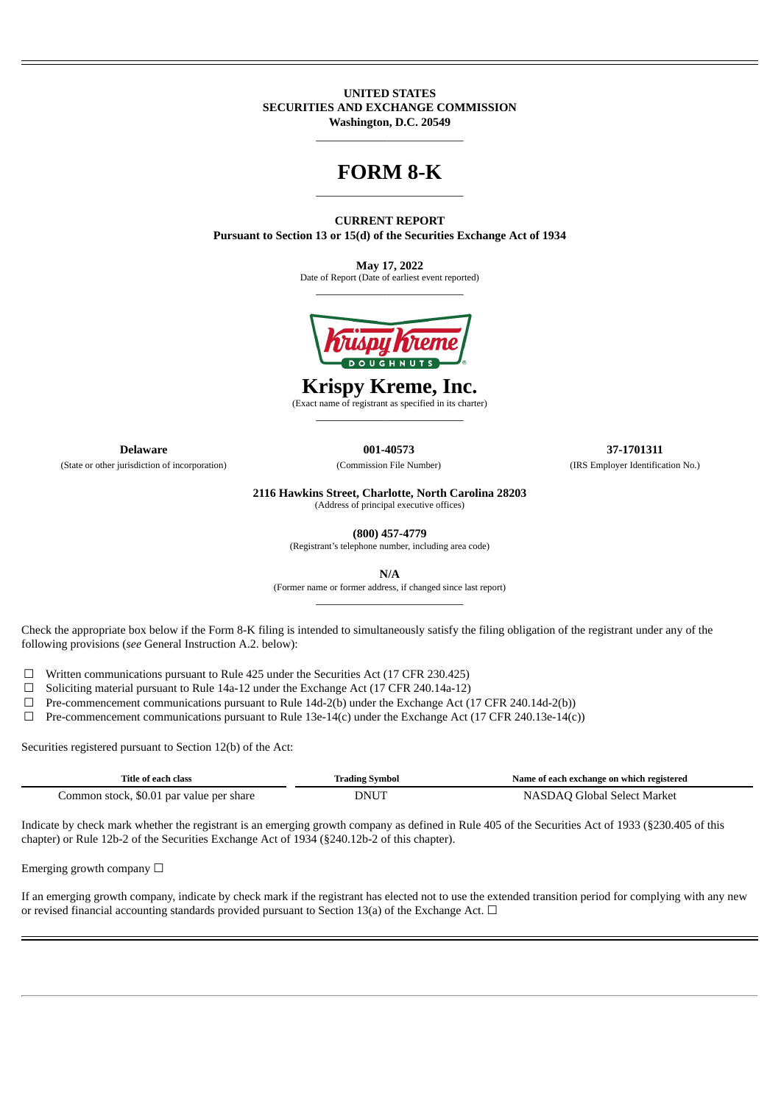#### **UNITED STATES SECURITIES AND EXCHANGE COMMISSION Washington, D.C. 20549**

 $\_$ 

## **FORM 8-K**  $\_$

**CURRENT REPORT Pursuant to Section 13 or 15(d) of the Securities Exchange Act of 1934**

> **May 17, 2022** Date of Report (Date of earliest event reported)  $\_$



# **Krispy Kreme, Inc.**

(Exact name of registrant as specified in its charter)  $\_$ 

**Delaware 001-40573 37-1701311**

(State or other jurisdiction of incorporation) (Commission File Number) (IRS Employer Identification No.)

**2116 Hawkins Street, Charlotte, North Carolina 28203** (Address of principal executive offices)

**(800) 457-4779**

(Registrant's telephone number, including area code)

**N/A**

(Former name or former address, if changed since last report)  $\_$ 

Check the appropriate box below if the Form 8-K filing is intended to simultaneously satisfy the filing obligation of the registrant under any of the following provisions (*see* General Instruction A.2. below):

☐ Written communications pursuant to Rule 425 under the Securities Act (17 CFR 230.425)

 $\Box$  Soliciting material pursuant to Rule 14a-12 under the Exchange Act (17 CFR 240.14a-12)

 $\Box$  Pre-commencement communications pursuant to Rule 14d-2(b) under the Exchange Act (17 CFR 240.14d-2(b))

 $\Box$  Pre-commencement communications pursuant to Rule 13e-14(c) under the Exchange Act (17 CFR 240.13e-14(c))

Securities registered pursuant to Section 12(b) of the Act:

| Title of each class                      | Irading Svmbol | Name of each exchange on which registered |
|------------------------------------------|----------------|-------------------------------------------|
| Common stock, \$0.01 par value per share | DNU            | NASDAO Global Select Market               |

Indicate by check mark whether the registrant is an emerging growth company as defined in Rule 405 of the Securities Act of 1933 (§230.405 of this chapter) or Rule 12b-2 of the Securities Exchange Act of 1934 (§240.12b-2 of this chapter).

Emerging growth company  $\Box$ 

If an emerging growth company, indicate by check mark if the registrant has elected not to use the extended transition period for complying with any new or revised financial accounting standards provided pursuant to Section 13(a) of the Exchange Act.  $\Box$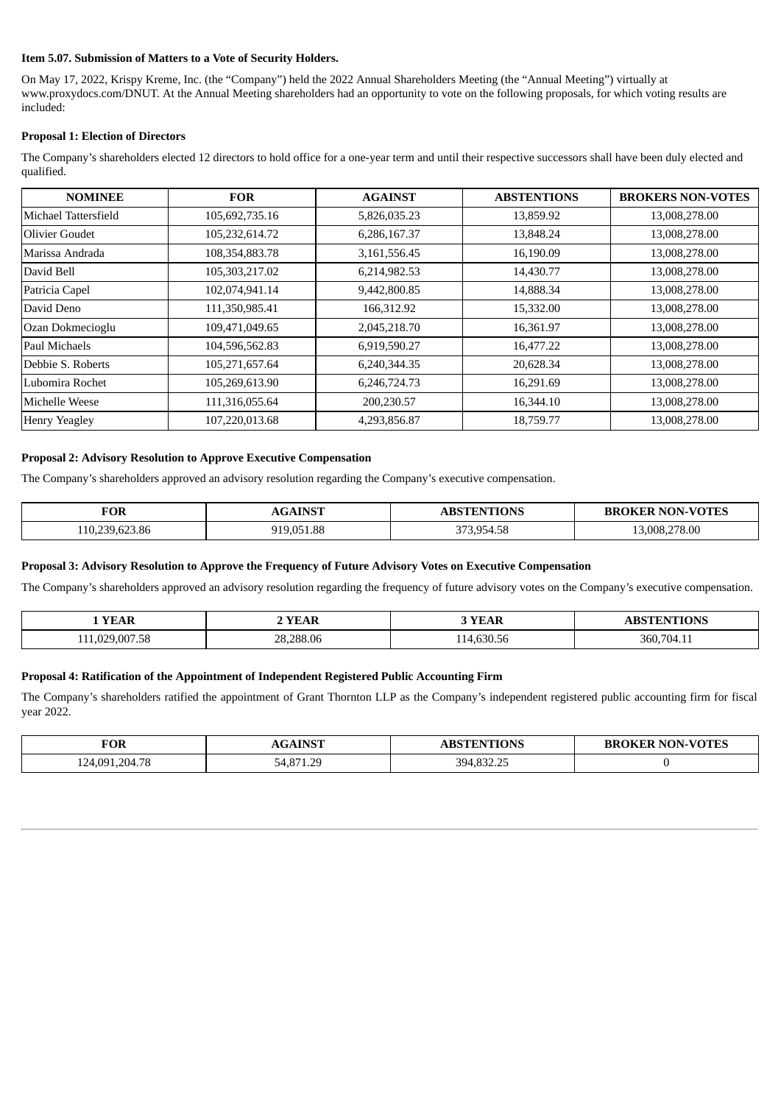#### **Item 5.07. Submission of Matters to a Vote of Security Holders.**

On May 17, 2022, Krispy Kreme, Inc. (the "Company") held the 2022 Annual Shareholders Meeting (the "Annual Meeting") virtually at www.proxydocs.com/DNUT. At the Annual Meeting shareholders had an opportunity to vote on the following proposals, for which voting results are included:

## **Proposal 1: Election of Directors**

The Company's shareholders elected 12 directors to hold office for a one-year term and until their respective successors shall have been duly elected and qualified.

| <b>NOMINEE</b>       | <b>FOR</b>     | <b>AGAINST</b> | <b>ABSTENTIONS</b> | <b>BROKERS NON-VOTES</b> |
|----------------------|----------------|----------------|--------------------|--------------------------|
| Michael Tattersfield | 105,692,735.16 | 5,826,035.23   | 13,859.92          | 13,008,278.00            |
| Olivier Goudet       | 105,232,614.72 | 6,286,167.37   | 13,848.24          | 13,008,278.00            |
| Marissa Andrada      | 108,354,883.78 | 3,161,556.45   | 16,190.09          | 13,008,278.00            |
| David Bell           | 105,303,217.02 | 6,214,982.53   | 14,430.77          | 13,008,278.00            |
| Patricia Capel       | 102,074,941.14 | 9,442,800.85   | 14,888.34          | 13,008,278.00            |
| David Deno           | 111,350,985.41 | 166,312.92     | 15,332.00          | 13,008,278.00            |
| Ozan Dokmecioglu     | 109,471,049.65 | 2,045,218.70   | 16,361.97          | 13,008,278.00            |
| Paul Michaels        | 104,596,562.83 | 6,919,590.27   | 16,477.22          | 13,008,278.00            |
| Debbie S. Roberts    | 105,271,657.64 | 6,240,344.35   | 20,628.34          | 13,008,278.00            |
| Lubomira Rochet      | 105,269,613.90 | 6,246,724.73   | 16,291.69          | 13,008,278.00            |
| Michelle Weese       | 111,316,055.64 | 200,230.57     | 16,344.10          | 13,008,278.00            |
| <b>Henry Yeagley</b> | 107,220,013.68 | 4,293,856.87   | 18,759.77          | 13,008,278.00            |

## **Proposal 2: Advisory Resolution to Approve Executive Compensation**

The Company's shareholders approved an advisory resolution regarding the Company's executive compensation.

| TOR                   | <b>TAICT</b> | $T^{\text{eff}}$ ONS               | <b>VOTES</b>    |
|-----------------------|--------------|------------------------------------|-----------------|
| ____                  |              |                                    | 47. C           |
| 623.86<br>11 ႐<br>ാാല | 051.88       | $0 - 1 - 0$<br>$\sim$<br>957<br>-- | 278.00<br>. NUS |

#### **Proposal 3: Advisory Resolution to Approve the Frequency of Future Advisory Votes on Executive Compensation**

The Company's shareholders approved an advisory resolution regarding the frequency of future advisory votes on the Company's executive compensation.

| <b>VEAD</b><br>$\mathbf{v}$ | ΆR<br>. <del>.</del><br>$\mathbf{v}$     | . L.                                  | <b>THEORIC</b><br>DNN.<br>_____ |
|-----------------------------|------------------------------------------|---------------------------------------|---------------------------------|
| 11'<br>.                    | חר<br>$\sim$<br>288<br>.00.00<br>-<br>__ | $\sim$ $\sim$<br>$\sim$<br>-50<br>nh. | הר<br>$70\Delta$                |

#### **Proposal 4: Ratification of the Appointment of Independent Registered Public Accounting Firm**

The Company's shareholders ratified the appointment of Grant Thornton LLP as the Company's independent registered public accounting firm for fiscal year 2022.

| <b>FOR</b>     | <b>AINST</b><br>$\sqrt{2}$<br>/w. | <b>ABSTENTIONS</b>         | <b>NON-VOTES</b><br>ж<br>.EK<br>кк |
|----------------|-----------------------------------|----------------------------|------------------------------------|
| 124,091,204.78 | 54 871 20<br>1.L                  | 394 832 25<br>332.ZJ<br>ັບ |                                    |